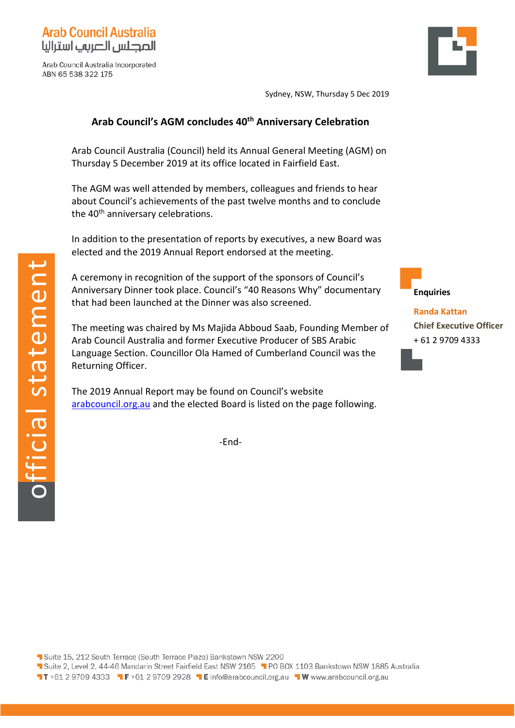

Arab Council Australia Incorporated ABN 65 538 322 175

Sydney, NSW, Thursday 5 Dec 2019

## **Arab Council's AGM concludes 40th Anniversary Celebration**

Arab Council Australia (Council) held its Annual General Meeting (AGM) on Thursday 5 December 2019 at its office located in Fairfield East.

The AGM was well attended by members, colleagues and friends to hear about Council's achievements of the past twelve months and to conclude the 40<sup>th</sup> anniversary celebrations.

In addition to the presentation of reports by executives, a new Board was elected and the 2019 Annual Report endorsed at the meeting.

A ceremony in recognition of the support of the sponsors of Council's Anniversary Dinner took place. Council's "40 Reasons Why" documentary that had been launched at the Dinner was also screened.

The meeting was chaired by Ms Majida Abboud Saab, Founding Member of Arab Council Australia and former Executive Producer of SBS Arabic Language Section. Councillor Ola Hamed of Cumberland Council was the Returning Officer.

The 2019 Annual Report may be found on Council's website [arabcouncil.org.au](http://www.arabcouncil.org.au/) and the elected Board is listed on the page following.

-End-



**Enquiries**

**Randa Kattan Chief Executive Officer** + 61 2 9709 4333

Suite 15, 212 South Terrace (South Terrace Plaza) Bankstown NSW 2200

- 1 Suite 2, Level 2, 44-46 Mandarin Street Fairfield East NSW 2165 1 PO BOX 1103 Bankstown NSW 1885 Australia
- T T +61 2 9709 4333 T F +61 2 9709 2928 T E info@arabcouncil.org.au T W www.arabcouncil.org.au